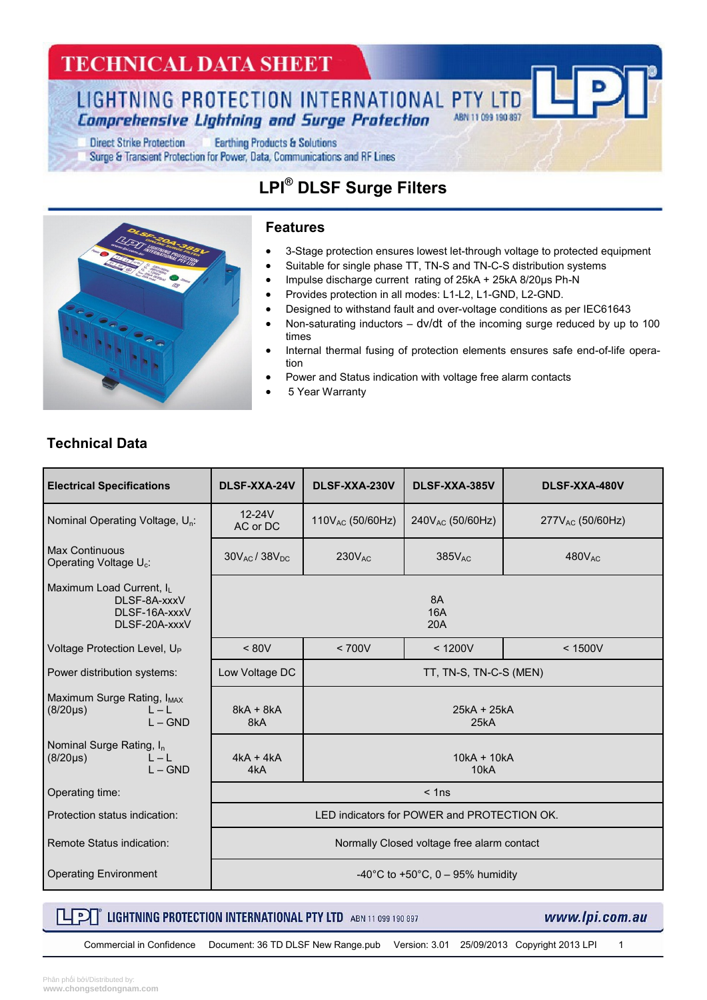## **TECHNICAL DATA SHEET**

LIGHTNING PROTECTION INTERNATIONAL PTY LTD **Comprehensive Lightning and Surge Protection** 

**Direct Strike Protection Earthing Products & Solutions** Surge & Transient Protection for Power, Data, Communications and RF Lines

### **LPI® DLSF Surge Filters**



#### **Features**

- 3-Stage protection ensures lowest let-through voltage to protected equipment
- Suitable for single phase TT, TN-S and TN-C-S distribution systems
- Impulse discharge current rating of 25kA + 25kA 8/20µs Ph-N
- Provides protection in all modes: L1-L2, L1-GND, L2-GND.
- Designed to withstand fault and over-voltage conditions as per IEC61643
- Non-saturating inductors dv/dt of the incoming surge reduced by up to 100 times
- Internal thermal fusing of protection elements ensures safe end-of-life operation
- Power and Status indication with voltage free alarm contacts
- 5 Year Warranty

### **Technical Data**

| <b>Electrical Specifications</b>                                               | DLSF-XXA-24V                                | DLSF-XXA-230V          | DLSF-XXA-385V         | DLSF-XXA-480V         |  |
|--------------------------------------------------------------------------------|---------------------------------------------|------------------------|-----------------------|-----------------------|--|
| Nominal Operating Voltage, U <sub>n</sub> :                                    | $12-24V$<br>AC or DC                        | $110V_{AC}$ (50/60Hz)  | $240V_{AC}$ (50/60Hz) | $277V_{AC}$ (50/60Hz) |  |
| Max Continuous<br>Operating Voltage U <sub>c</sub> :                           | $30V_{AC}$ / $38V_{DC}$                     | $230V_{AC}$            | $385V_{AC}$           | $480V_{AC}$           |  |
| Maximum Load Current, IL<br>DLSF-8A-xxxV<br>DLSF-16A-xxxV<br>DLSF-20A-xxxV     | <b>8A</b><br><b>16A</b><br>20A              |                        |                       |                       |  |
| Voltage Protection Level, U <sub>P</sub>                                       | < 80V                                       | < 700V                 | < 1200V               | < 1500V               |  |
| Power distribution systems:                                                    | Low Voltage DC                              | TT, TN-S, TN-C-S (MEN) |                       |                       |  |
| Maximum Surge Rating, I <sub>MAX</sub><br>$ - $<br>$(8/20 \mu s)$<br>$I - GND$ | $8kA + 8kA$<br>8kA                          | $25kA + 25kA$<br>25kA  |                       |                       |  |
| Nominal Surge Rating, I <sub>n</sub><br>$L - L$<br>$(8/20 \mu s)$<br>$L - GND$ | $4kA + 4kA$<br>4kA                          | $10kA + 10kA$<br>10kA  |                       |                       |  |
| Operating time:                                                                | $<$ 1ns                                     |                        |                       |                       |  |
| Protection status indication:                                                  | LED indicators for POWER and PROTECTION OK. |                        |                       |                       |  |
| Remote Status indication:                                                      | Normally Closed voltage free alarm contact  |                        |                       |                       |  |
| <b>Operating Environment</b>                                                   | -40°C to +50°C, 0 - 95% humidity            |                        |                       |                       |  |

### $\Box$   $\Box$  Lightning protection international PTY LTD ABN 11 099 190 897

www.lpi.com.au

Commercial in Confidence Document: 36 TD DLSF New Range.pub Version: 3.01 25/09/2013 Copyright 2013 LPI 1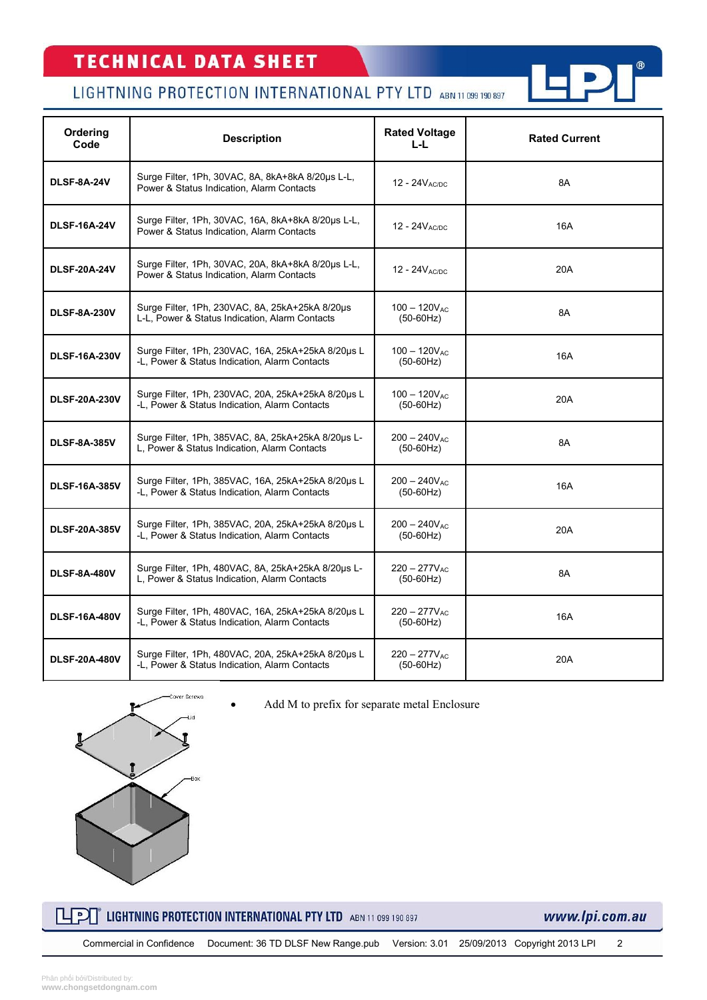# **TECHNICAL DATA SHEET**

### LIGHTNING PROTECTION INTERNATIONAL PTY LTD ABN 11 099 190 897

| Ordering<br>Code     | <b>Description</b>                                                                                  | <b>Rated Voltage</b><br>L-L.     | <b>Rated Current</b> |
|----------------------|-----------------------------------------------------------------------------------------------------|----------------------------------|----------------------|
| <b>DLSF-8A-24V</b>   | Surge Filter, 1Ph, 30VAC, 8A, 8kA+8kA 8/20us L-L,<br>Power & Status Indication, Alarm Contacts      | $12 - 24V_{AC/DC}$               | 8A                   |
| <b>DLSF-16A-24V</b>  | Surge Filter, 1Ph, 30VAC, 16A, 8kA+8kA 8/20µs L-L,<br>Power & Status Indication, Alarm Contacts     | 12 - $24V_{AC/DC}$               | 16A                  |
| <b>DLSF-20A-24V</b>  | Surge Filter, 1Ph, 30VAC, 20A, 8kA+8kA 8/20us L-L,<br>Power & Status Indication, Alarm Contacts     | 12 - $24VAC/DC$                  | 20A                  |
| <b>DLSF-8A-230V</b>  | Surge Filter, 1Ph, 230VAC, 8A, 25kA+25kA 8/20µs<br>L-L, Power & Status Indication, Alarm Contacts   | $100 - 120V_{AC}$<br>$(50-60Hz)$ | 8A                   |
| <b>DLSF-16A-230V</b> | Surge Filter, 1Ph, 230VAC, 16A, 25kA+25kA 8/20µs L<br>-L. Power & Status Indication, Alarm Contacts | $100 - 120V_{AC}$<br>$(50-60Hz)$ | 16A                  |
| <b>DLSF-20A-230V</b> | Surge Filter, 1Ph, 230VAC, 20A, 25kA+25kA 8/20µs L<br>-L. Power & Status Indication, Alarm Contacts | $100 - 120V_{AC}$<br>$(50-60Hz)$ | 20A                  |
| <b>DLSF-8A-385V</b>  | Surge Filter, 1Ph, 385VAC, 8A, 25kA+25kA 8/20µs L-<br>L, Power & Status Indication, Alarm Contacts  | $200 - 240V_{AC}$<br>$(50-60Hz)$ | 8A                   |
| <b>DLSF-16A-385V</b> | Surge Filter, 1Ph, 385VAC, 16A, 25kA+25kA 8/20µs L<br>-L, Power & Status Indication, Alarm Contacts | $200 - 240V_{AC}$<br>$(50-60Hz)$ | 16A                  |
| <b>DLSF-20A-385V</b> | Surge Filter, 1Ph, 385VAC, 20A, 25kA+25kA 8/20us L<br>-L, Power & Status Indication, Alarm Contacts | $200 - 240V_{AC}$<br>$(50-60Hz)$ | 20A                  |
| <b>DLSF-8A-480V</b>  | Surge Filter, 1Ph, 480VAC, 8A, 25kA+25kA 8/20us L-<br>L, Power & Status Indication, Alarm Contacts  | $220 - 277V_{AC}$<br>$(50-60Hz)$ | 8A                   |
| <b>DLSF-16A-480V</b> | Surge Filter, 1Ph, 480VAC, 16A, 25kA+25kA 8/20us L<br>-L, Power & Status Indication, Alarm Contacts | $220 - 277V_{AC}$<br>$(50-60Hz)$ | 16A                  |
| <b>DLSF-20A-480V</b> | Surge Filter, 1Ph, 480VAC, 20A, 25kA+25kA 8/20µs L<br>-L, Power & Status Indication, Alarm Contacts | $220 - 277V_{AC}$<br>$(50-60Hz)$ | 20A                  |

Add M to prefix for separate metal Enclosure



 $\mathbb{L}$ P $\mathbb{L}$ LIGHTNING PROTECTION INTERNATIONAL PTY LTD ABN 11 099 190 897 www.lpi.com.au

 $^\circledR$ 

Commercial in Confidence Document: 36 TD DLSF New Range.pub Version: 3.01 25/09/2013 Copyright 2013 LPI 2